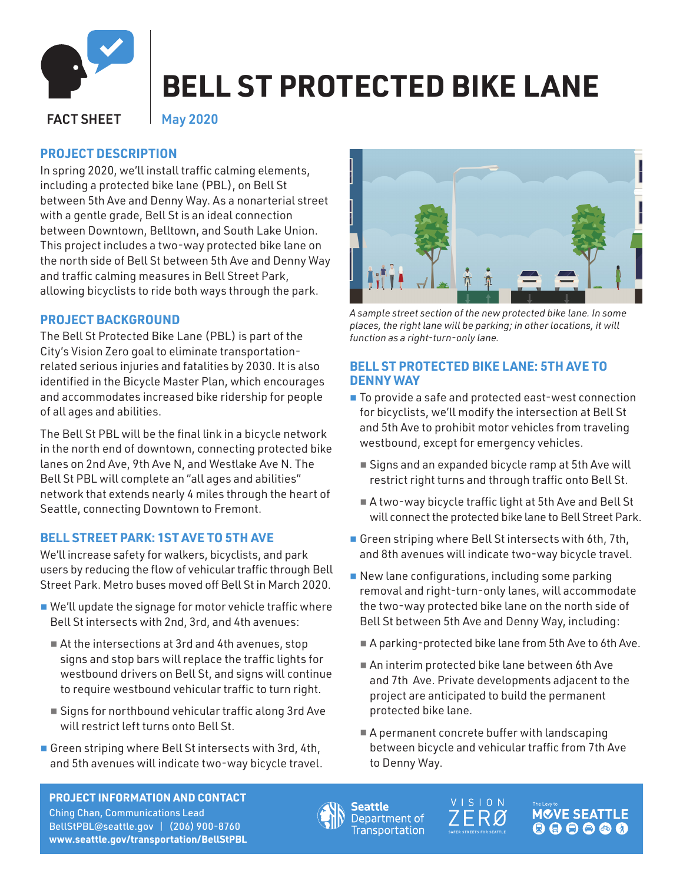

# **BELL ST PROTECTED BIKE LANE**

FACT SHEET

May 2020

# **PROJECT DESCRIPTION**

In spring 2020, we'll install traffic calming elements, including a protected bike lane (PBL), on Bell St between 5th Ave and Denny Way. As a nonarterial street with a gentle grade, Bell St is an ideal connection between Downtown, Belltown, and South Lake Union. This project includes a two-way protected bike lane on the north side of Bell St between 5th Ave and Denny Way and traffic calming measures in Bell Street Park, allowing bicyclists to ride both ways through the park.

# **PROJECT BACKGROUND**

The Bell St Protected Bike Lane (PBL) is part of the City's Vision Zero goal to eliminate transportationrelated serious injuries and fatalities by 2030. It is also identified in the Bicycle Master Plan, which encourages and accommodates increased bike ridership for people of all ages and abilities.

The Bell St PBL will be the final link in a bicycle network in the north end of downtown, connecting protected bike lanes on 2nd Ave, 9th Ave N, and Westlake Ave N. The Bell St PBL will complete an "all ages and abilities" network that extends nearly 4 miles through the heart of Seattle, connecting Downtown to Fremont.

## **BELL STREET PARK: 1ST AVE TO 5TH AVE**

We'll increase safety for walkers, bicyclists, and park users by reducing the flow of vehicular traffic through Bell Street Park. Metro buses moved off Bell St in March 2020.

- We'll update the signage for motor vehicle traffic where Bell St intersects with 2nd, 3rd, and 4th avenues:
	- At the intersections at 3rd and 4th avenues, stop signs and stop bars will replace the traffic lights for westbound drivers on Bell St, and signs will continue to require westbound vehicular traffic to turn right.
	- Signs for northbound vehicular traffic along 3rd Ave will restrict left turns onto Bell St.
- Green striping where Bell St intersects with 3rd, 4th, and 5th avenues will indicate two-way bicycle travel.



*A sample street section of the new protected bike lane. In some places, the right lane will be parking; in other locations, it will function as a right-turn-only lane.* 

### **BELL ST PROTECTED BIKE LANE: 5TH AVE TO DENNY WAY**

- To provide a safe and protected east-west connection for bicyclists, we'll modify the intersection at Bell St and 5th Ave to prohibit motor vehicles from traveling westbound, except for emergency vehicles.
	- Signs and an expanded bicycle ramp at 5th Ave will restrict right turns and through traffic onto Bell St.
	- A two-way bicycle traffic light at 5th Ave and Bell St will connect the protected bike lane to Bell Street Park.
- Green striping where Bell St intersects with 6th, 7th, and 8th avenues will indicate two-way bicycle travel.
- New lane configurations, including some parking removal and right-turn-only lanes, will accommodate the two-way protected bike lane on the north side of Bell St between 5th Ave and Denny Way, including:
	- A parking-protected bike lane from 5th Ave to 6th Ave.
	- An interim protected bike lane between 6th Ave and 7th Ave. Private developments adjacent to the project are anticipated to build the permanent protected bike lane.
	- A permanent concrete buffer with landscaping between bicycle and vehicular traffic from 7th Ave to Denny Way.

#### **PROJECT INFORMATION AND CONTACT**

Ching Chan, Communications Lead BellStPB[L@seattle.gov](mailto:15thAveAAC%40seattle.gov?subject=) | (206) 900-8760 **[www.seattle.gov/transportation/B](https://www.seattle.gov/transportation/projects-and-programs/programs/bike-program/protected-bike-lanes/bell-st-protected-bike-lane)ellStPBL**





**MCVE SEATTLE**  $\begin{array}{c} \bullet\bullet\bullet\bullet\bullet\bullet\end{array}$